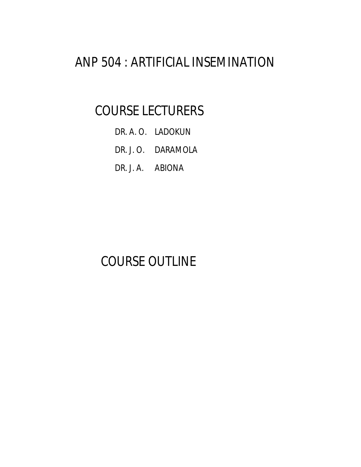# ANP 504 : ARTIFICIAL INSEMINATION

## COURSE LECTURERS

- DR. A. O. LADOKUN
- DR. J. O. DARAMOLA
- DR. J. A. ABIONA

# COURSE OUTLINE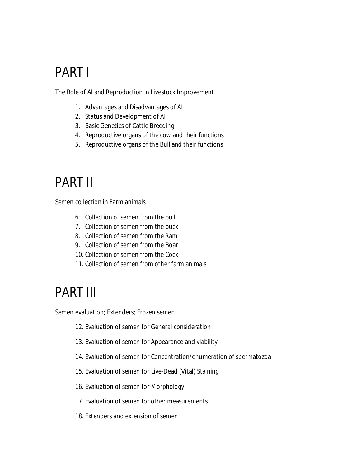# PART I

The Role of AI and Reproduction in Livestock Improvement

- 1. Advantages and Disadvantages of AI
- 2. Status and Development of AI
- 3. Basic Genetics of Cattle Breeding
- 4. Reproductive organs of the cow and their functions
- 5. Reproductive organs of the Bull and their functions

# PART II

Semen collection in Farm animals

- 6. Collection of semen from the bull
- 7. Collection of semen from the buck
- 8. Collection of semen from the Ram
- 9. Collection of semen from the Boar
- 10. Collection of semen from the Cock
- 11. Collection of semen from other farm animals

# PART III

Semen evaluation; Extenders; Frozen semen

12. Evaluation of semen for General consideration

- 13. Evaluation of semen for Appearance and viability
- 14. Evaluation of semen for Concentration/enumeration of spermatozoa
- 15. Evaluation of semen for Live-Dead (Vital) Staining
- 16. Evaluation of semen for Morphology
- 17. Evaluation of semen for other measurements
- 18. Extenders and extension of semen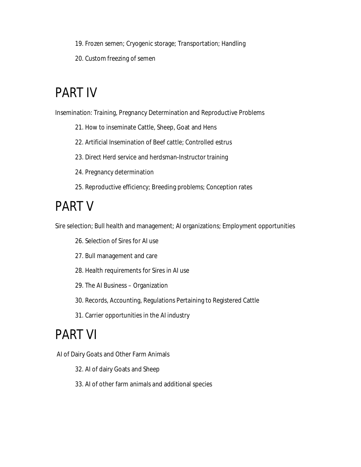- 19. Frozen semen; Cryogenic storage; Transportation; Handling
- 20. Custom freezing of semen

# PART IV

Insemination: Training, Pregnancy Determination and Reproductive Problems

- 21. How to inseminate Cattle, Sheep, Goat and Hens
- 22. Artificial Insemination of Beef cattle; Controlled estrus
- 23. Direct Herd service and herdsman-Instructor training
- 24. Pregnancy determination
- 25. Reproductive efficiency; Breeding problems; Conception rates

# PART V

Sire selection; Bull health and management; AI organizations; Employment opportunities

- 26. Selection of Sires for AI use
- 27. Bull management and care
- 28. Health requirements for Sires in AI use
- 29. The AI Business Organization
- 30. Records, Accounting, Regulations Pertaining to Registered Cattle
- 31. Carrier opportunities in the AI industry

# PART VI

AI of Dairy Goats and Other Farm Animals

- 32. AI of dairy Goats and Sheep
- 33. AI of other farm animals and additional species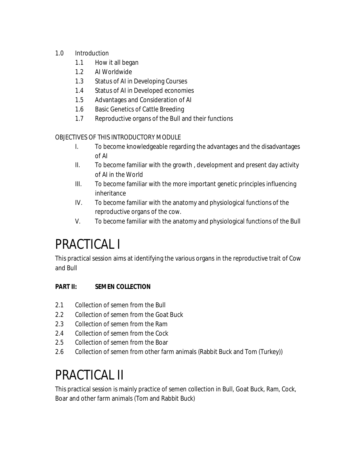### 1.0 Introduction

- 1.1 How it all began
- 1.2 AI Worldwide
- 1.3 Status of AI in Developing Courses
- 1.4 Status of AI in Developed economies
- 1.5 Advantages and Consideration of AI
- 1.6 Basic Genetics of Cattle Breeding
- 1.7 Reproductive organs of the Bull and their functions

### OBJECTIVES OF THIS INTRODUCTORY MODULE

- I. To become knowledgeable regarding the advantages and the disadvantages of AI
- II. To become familiar with the growth , development and present day activity of AI in the World
- III. To become familiar with the more important genetic principles influencing inheritance
- IV. To become familiar with the anatomy and physiological functions of the reproductive organs of the cow.
- V. To become familiar with the anatomy and physiological functions of the Bull

# PRACTICAL I

This practical session aims at identifying the various organs in the reproductive trait of Cow and Bull

## **PART II: SEMEN COLLECTION**

- 2.1 Collection of semen from the Bull
- 2.2 Collection of semen from the Goat Buck
- 2.3 Collection of semen from the Ram
- 2.4 Collection of semen from the Cock
- 2.5 Collection of semen from the Boar
- 2.6 Collection of semen from other farm animals (Rabbit Buck and Tom (Turkey))

# PRACTICAL II

This practical session is mainly practice of semen collection in Bull, Goat Buck, Ram, Cock, Boar and other farm animals (Tom and Rabbit Buck)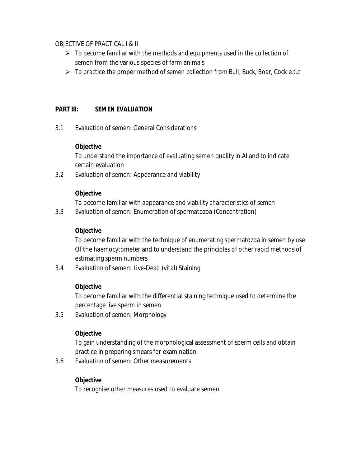#### OBJECTIVE OF PRACTICAL I & II

- $\triangleright$  To become familiar with the methods and equipments used in the collection of semen from the various species of farm animals
- $\triangleright$  To practice the proper method of semen collection from Bull, Buck, Boar, Cock e.t.c

#### **PART III: SEMEN EVALUATION**

3.1 Evaluation of semen: General Considerations

#### **Objective**

To understand the importance of evaluating semen quality in AI and to indicate certain evaluation

3.2 Evaluation of semen: Appearance and viability

#### **Objective**

To become familiar with appearance and viability characteristics of semen

3.3 Evaluation of semen: Enumeration of spermatozoa (Concentration)

#### **Objective**

To become familiar with the technique of enumerating spermatozoa in semen by use Of the haemocytometer and to understand the principles of other rapid methods of estimating sperm numbers

3.4 Evaluation of semen: Live-Dead (vital) Staining

#### **Objective**

To become familiar with the differential staining technique used to determine the percentage live sperm in semen

3.5 Evaluation of semen: Morphology

#### **Objective**

To gain understanding of the morphological assessment of sperm cells and obtain practice in preparing smears for examination

3.6 Evaluation of semen: Other measurements

#### **Objective**

To recognise other measures used to evaluate semen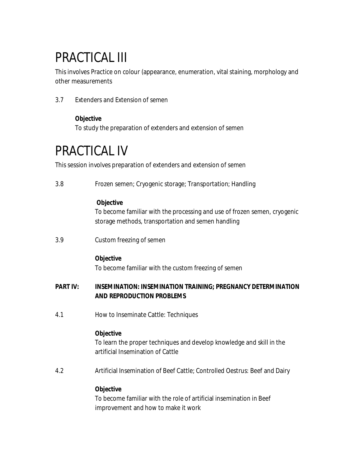# PRACTICAL III

This involves Practice on colour (appearance, enumeration, vital staining, morphology and other measurements

3.7 Extenders and Extension of semen

### **Objective**

To study the preparation of extenders and extension of semen

## PRACTICAL IV

This session involves preparation of extenders and extension of semen

|                 | Frozen semen; Cryogenic storage; Transportation; Handling                                                                                           |
|-----------------|-----------------------------------------------------------------------------------------------------------------------------------------------------|
|                 | <b>Objective</b><br>To become familiar with the processing and use of frozen semen, cryogenic<br>storage methods, transportation and semen handling |
| 3.9             | Custom freezing of semen                                                                                                                            |
|                 | <b>Objective</b><br>To become familiar with the custom freezing of semen                                                                            |
| <b>PART IV:</b> | <b>INSEMINATION: INSEMINATION TRAINING; PREGNANCY DETERMINATION</b><br><b>AND REPRODUCTION PROBLEMS</b>                                             |
|                 |                                                                                                                                                     |
| 4.1             | How to Inseminate Cattle: Techniques                                                                                                                |
|                 | <b>Objective</b><br>To learn the proper techniques and develop knowledge and skill in the<br>artificial Insemination of Cattle                      |
| 4.2             | Artificial Insemination of Beef Cattle; Controlled Oestrus: Beef and Dairy                                                                          |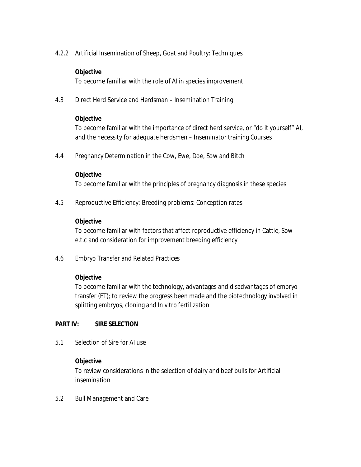4.2.2 Artificial Insemination of Sheep, Goat and Poultry: Techniques

#### **Objective**

To become familiar with the role of AI in species improvement

4.3 Direct Herd Service and Herdsman – Insemination Training

#### **Objective**

To become familiar with the importance of direct herd service, or "do it yourself" AI, and the necessity for adequate herdsmen – Inseminator training Courses

4.4 Pregnancy Determination in the Cow, Ewe, Doe, Sow and Bitch

#### **Objective**

To become familiar with the principles of pregnancy diagnosis in these species

4.5 Reproductive Efficiency: Breeding problems: Conception rates

#### **Objective**

To become familiar with factors that affect reproductive efficiency in Cattle, Sow e.t.c and consideration for improvement breeding efficiency

4.6 Embryo Transfer and Related Practices

### **Objective**

To become familiar with the technology, advantages and disadvantages of embryo transfer (ET); to review the progress been made and the biotechnology involved in splitting embryos, cloning and *In vitro* fertilization

### **PART IV: SIRE SELECTION**

5.1 Selection of Sire for AI use

#### **Objective**

To review considerations in the selection of dairy and beef bulls for Artificial insemination

5.2 Bull Management and Care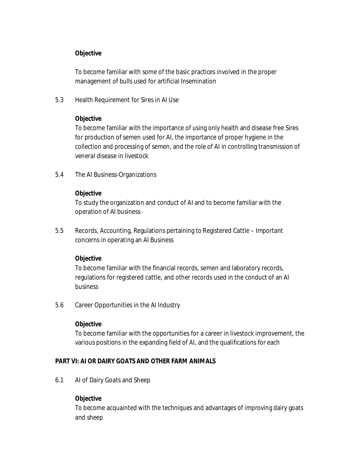#### **Objective**

To become familiar with some of the basic practices involved in the proper management of bulls used for artificial Insemination

5.3 Health Requirement for Sires in AI Use

#### **Objective**

To become familiar with the importance of using only health and disease free Sires for production of semen used for AI, the importance of proper hygiene in the collection and processing of semen, and the role of AI in controlling transmission of veneral disease in livestock

5.4 The AI Business-Organizations

#### **Objective**

To study the organization and conduct of AI and to become familiar with the operation of AI business

5.5 Records, Accounting, Regulations pertaining to Registered Cattle – Important concerns in operating an AI Business

#### **Objective**

To become familiar with the financial records, semen and laboratory records, regulations for registered cattle, and other records used in the conduct of an AI business

5.6 Career Opportunities in the AI Industry

#### **Objective**

To become familiar with the opportunities for a career in livestock improvement, the various positions in the expanding field of AI, and the qualifications for each

#### **PART VI: AI OR DAIRY GOATS AND OTHER FARM ANIMALS**

6.1 AI of Dairy Goats and Sheep

#### **Objective**

To become acquainted with the techniques and advantages of improving dairy goats and sheep